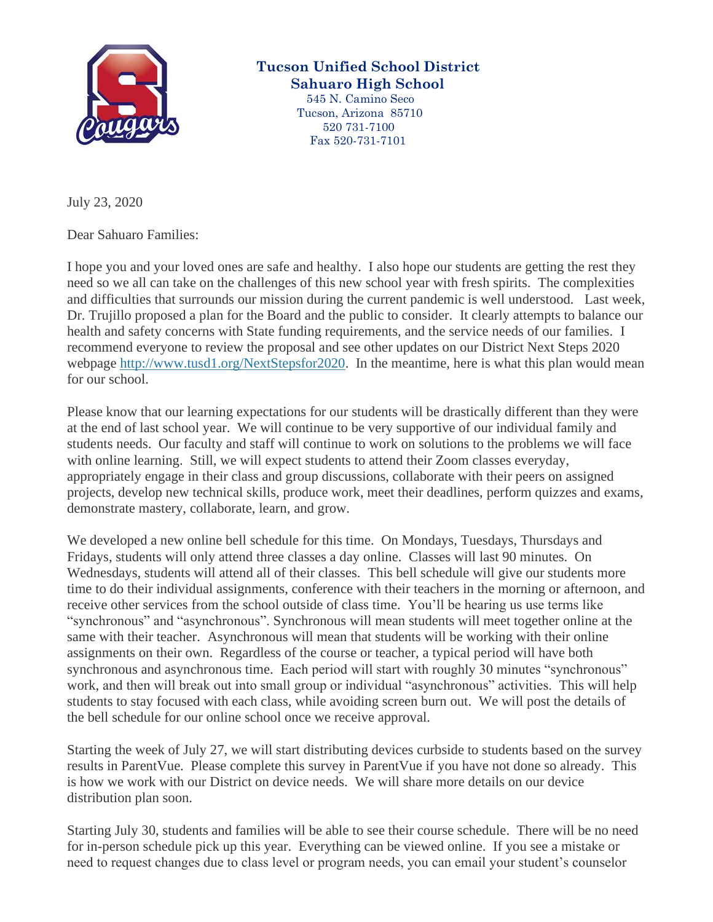

## **Tucson Unified School District Sahuaro High School**

 545 N. Camino Seco Tucson, Arizona 85710 520 731-7100 Fax 520-731-7101

July 23, 2020

Dear Sahuaro Families:

I hope you and your loved ones are safe and healthy. I also hope our students are getting the rest they need so we all can take on the challenges of this new school year with fresh spirits. The complexities and difficulties that surrounds our mission during the current pandemic is well understood. Last week, Dr. Trujillo proposed a plan for the Board and the public to consider. It clearly attempts to balance our health and safety concerns with State funding requirements, and the service needs of our families. I recommend everyone to review the proposal and see other updates on our District Next Steps 2020 webpage [http://www.tusd1.org/NextStepsfor2020.](http://www.tusd1.org/NextStepsfor2020) In the meantime, here is what this plan would mean for our school.

Please know that our learning expectations for our students will be drastically different than they were at the end of last school year. We will continue to be very supportive of our individual family and students needs. Our faculty and staff will continue to work on solutions to the problems we will face with online learning. Still, we will expect students to attend their Zoom classes everyday, appropriately engage in their class and group discussions, collaborate with their peers on assigned projects, develop new technical skills, produce work, meet their deadlines, perform quizzes and exams, demonstrate mastery, collaborate, learn, and grow.

We developed a new online bell schedule for this time. On Mondays, Tuesdays, Thursdays and Fridays, students will only attend three classes a day online. Classes will last 90 minutes. On Wednesdays, students will attend all of their classes. This bell schedule will give our students more time to do their individual assignments, conference with their teachers in the morning or afternoon, and receive other services from the school outside of class time. You'll be hearing us use terms like "synchronous" and "asynchronous". Synchronous will mean students will meet together online at the same with their teacher. Asynchronous will mean that students will be working with their online assignments on their own. Regardless of the course or teacher, a typical period will have both synchronous and asynchronous time. Each period will start with roughly 30 minutes "synchronous" work, and then will break out into small group or individual "asynchronous" activities. This will help students to stay focused with each class, while avoiding screen burn out. We will post the details of the bell schedule for our online school once we receive approval.

Starting the week of July 27, we will start distributing devices curbside to students based on the survey results in ParentVue. Please complete this survey in ParentVue if you have not done so already. This is how we work with our District on device needs. We will share more details on our device distribution plan soon.

Starting July 30, students and families will be able to see their course schedule. There will be no need for in-person schedule pick up this year. Everything can be viewed online. If you see a mistake or need to request changes due to class level or program needs, you can email your student's counselor